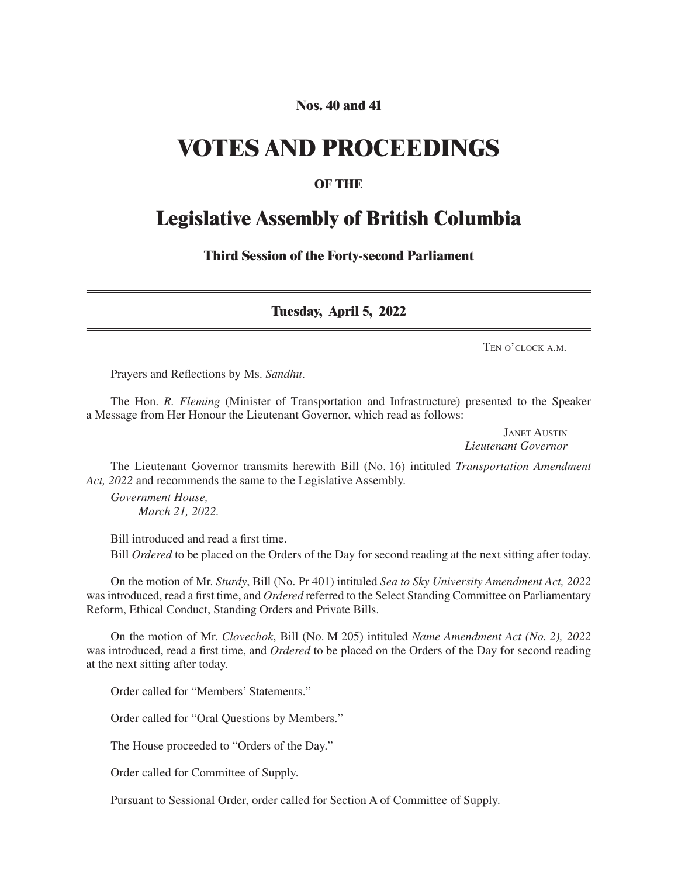# **Nos. 40 and 41**

# **VOTES AND PROCEEDINGS**

## **OF THE**

# **Legislative Assembly of British Columbia**

**Third Session of the Forty-second Parliament**

**Tuesday, April 5, 2022**

Ten o'clock a.m.

Prayers and Reflections by Ms. *Sandhu*.

The Hon. *R. Fleming* (Minister of Transportation and Infrastructure) presented to the Speaker a Message from Her Honour the Lieutenant Governor, which read as follows:

> Janet Austin *Lieutenant Governor*

The Lieutenant Governor transmits herewith Bill (No. 16) intituled *Transportation Amendment Act, 2022* and recommends the same to the Legislative Assembly.

*Government House, March 21, 2022.*

Bill introduced and read a first time.

Bill *Ordered* to be placed on the Orders of the Day for second reading at the next sitting after today.

On the motion of Mr. *Sturdy*, Bill (No. Pr 401) intituled *Sea to Sky University Amendment Act, 2022* was introduced, read a first time, and *Ordered* referred to the Select Standing Committee on Parliamentary Reform, Ethical Conduct, Standing Orders and Private Bills.

On the motion of Mr. *Clovechok*, Bill (No. M 205) intituled *Name Amendment Act (No. 2), 2022*  was introduced, read a first time, and *Ordered* to be placed on the Orders of the Day for second reading at the next sitting after today.

Order called for "Members' Statements."

Order called for "Oral Questions by Members."

The House proceeded to "Orders of the Day."

Order called for Committee of Supply.

Pursuant to Sessional Order, order called for Section A of Committee of Supply.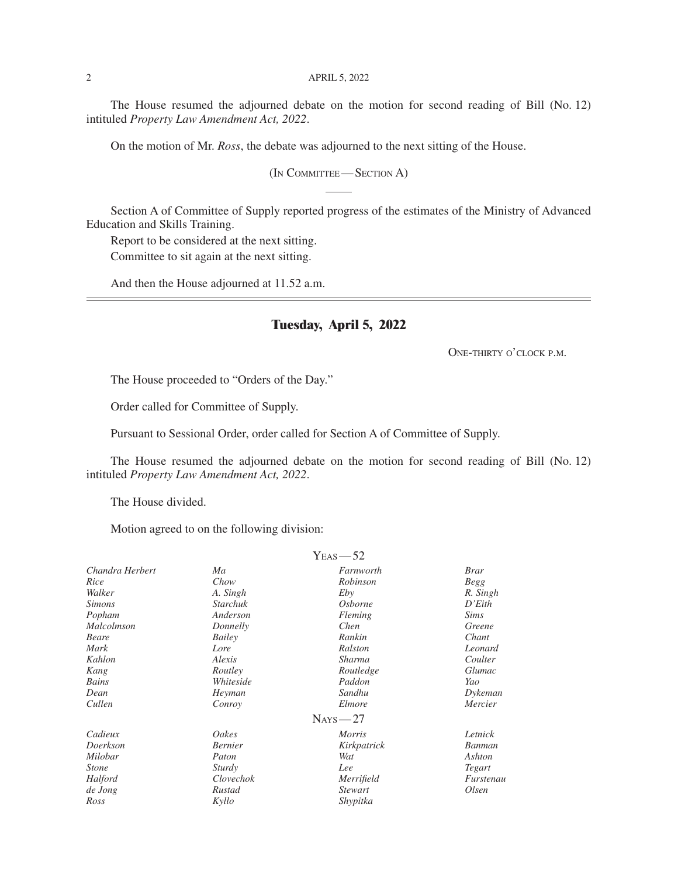#### 2 APRIL 5, 2022

The House resumed the adjourned debate on the motion for second reading of Bill (No. 12) intituled *Property Law Amendment Act, 2022*.

On the motion of Mr. *Ross*, the debate was adjourned to the next sitting of the House.

(In Committee— Section A)

Section A of Committee of Supply reported progress of the estimates of the Ministry of Advanced Education and Skills Training.

Report to be considered at the next sitting.

Committee to sit again at the next sitting.

And then the House adjourned at 11.52 a.m.

## **Tuesday, April 5, 2022**

One-thirty o'clock p.m.

The House proceeded to "Orders of the Day."

Order called for Committee of Supply.

Pursuant to Sessional Order, order called for Section A of Committee of Supply.

The House resumed the adjourned debate on the motion for second reading of Bill (No. 12) intituled *Property Law Amendment Act, 2022*.

The House divided.

Motion agreed to on the following division:

|                 |                 | $Y_{EAS}$ -52  |             |
|-----------------|-----------------|----------------|-------------|
| Chandra Herbert | Ma              | Farnworth      | <b>Brar</b> |
| Rice            | Chow            | Robinson       | <b>Begg</b> |
| Walker          | A. Singh        | Eby            | R. Singh    |
| <i>Simons</i>   | <b>Starchuk</b> | <i>Osborne</i> | D'Eith      |
| Popham          | Anderson        | Fleming        | <i>Sims</i> |
| Malcolmson      | Donnelly        | Chen           | Greene      |
| Beare           | Bailey          | Rankin         | Chant       |
| Mark            | Lore            | Ralston        | Leonard     |
| Kahlon          | Alexis          | Sharma         | Coulter     |
| Kang            | Routley         | Routledge      | Glumac      |
| Bains           | Whiteside       | Paddon         | Yao         |
| Dean            | Heyman          | Sandhu         | Dykeman     |
| Cullen          | Conroy          | Elmore         | Mercier     |
|                 |                 | $Nays - 27$    |             |
| Cadieux         | Oakes           | <i>Morris</i>  | Letnick     |
| Doerkson        | <b>Bernier</b>  | Kirkpatrick    | Banman      |
| Milobar         | Paton           | Wat            | Ashton      |
| <i>Stone</i>    | Sturdy          | Lee            | Tegart      |
| Halford         | Clovechok       | Merrifield     | Furstenau   |
| de Jong         | Rustad          | <i>Stewart</i> | Olsen       |
| Ross            | Kyllo           | Shypitka       |             |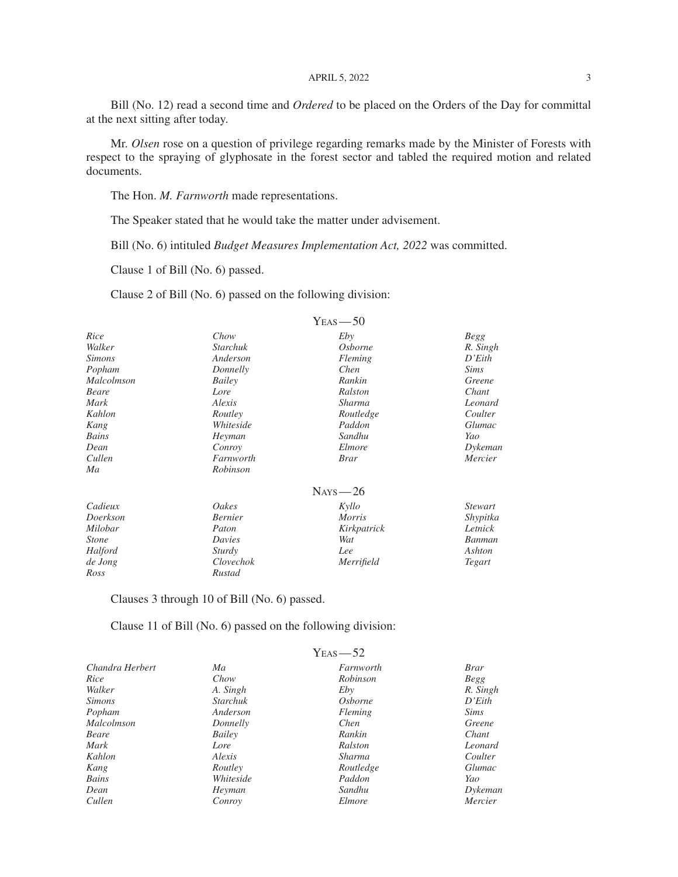#### APRIL 5, 2022 3

Bill (No. 12) read a second time and *Ordered* to be placed on the Orders of the Day for committal at the next sitting after today.

Mr. *Olsen* rose on a question of privilege regarding remarks made by the Minister of Forests with respect to the spraying of glyphosate in the forest sector and tabled the required motion and related documents.

The Hon. *M. Farnworth* made representations.

The Speaker stated that he would take the matter under advisement.

Bill (No. 6) intituled *Budget Measures Implementation Act, 2022* was committed.

Clause 1 of Bill (No. 6) passed.

Clause 2 of Bill (No. 6) passed on the following division:

|                   |                 | $Y_{EAS}$ -50  |                |
|-------------------|-----------------|----------------|----------------|
| Rice              | Chow            | Eby            | Begg           |
| Walker            | <b>Starchuk</b> | <i>Osborne</i> | R. Singh       |
| <i>Simons</i>     | Anderson        | Fleming        | D'Eith         |
| Popham            | Donnelly        | Chen           | Sims           |
| <i>Malcolmson</i> | Bailey          | Rankin         | Greene         |
| <b>Beare</b>      | Lore            | Ralston        | Chant          |
| Mark              | Alexis          | Sharma         | Leonard        |
| Kahlon            | Routley         | Routledge      | Coulter        |
| Kang              | Whiteside       | Paddon         | <i>Glumac</i>  |
| Bains             | Heyman          | Sandhu         | Yao            |
| Dean              | Conroy          | Elmore         | Dykeman        |
| Cullen            | Farnworth       | <i>Brar</i>    | Mercier        |
| Ma                | Robinson        |                |                |
|                   |                 | $Nays - 26$    |                |
| Cadieux           | Oakes           | Kyllo          | <i>Stewart</i> |
| Doerkson          | <b>Bernier</b>  | <i>Morris</i>  | Shypitka       |
| Milobar           | Paton           | Kirkpatrick    | Letnick        |
| <i>Stone</i>      | Davies          | Wat            | Banman         |
| Halford           | Sturdy          | Lee            | Ashton         |
| de Jong           | Clovechok       | Merrifield     | Tegart         |
| Ross              | Rustad          |                |                |

Clauses 3 through 10 of Bill (No. 6) passed.

Clause 11 of Bill (No. 6) passed on the following division:

|                 | $Y_{EAS}$ -52  |             |
|-----------------|----------------|-------------|
| Ma              | Farnworth      | <b>Brar</b> |
| Chow            | Robinson       | Begg        |
| A. Singh        | Eby            | R. Singh    |
| <i>Starchuk</i> | <i>Osborne</i> | D'Eith      |
| Anderson        | Fleming        | <i>Sims</i> |
| Donnelly        | Chen           | Greene      |
| Bailey          | Rankin         | Chant       |
| Lore            | Ralston        | Leonard     |
| Alexis          | Sharma         | Coulter     |
| Routley         | Routledge      | Glumac      |
| Whiteside       | Paddon         | Yao         |
| Heyman          | Sandhu         | Dykeman     |
| Conroy          | Elmore         | Mercier     |
|                 |                |             |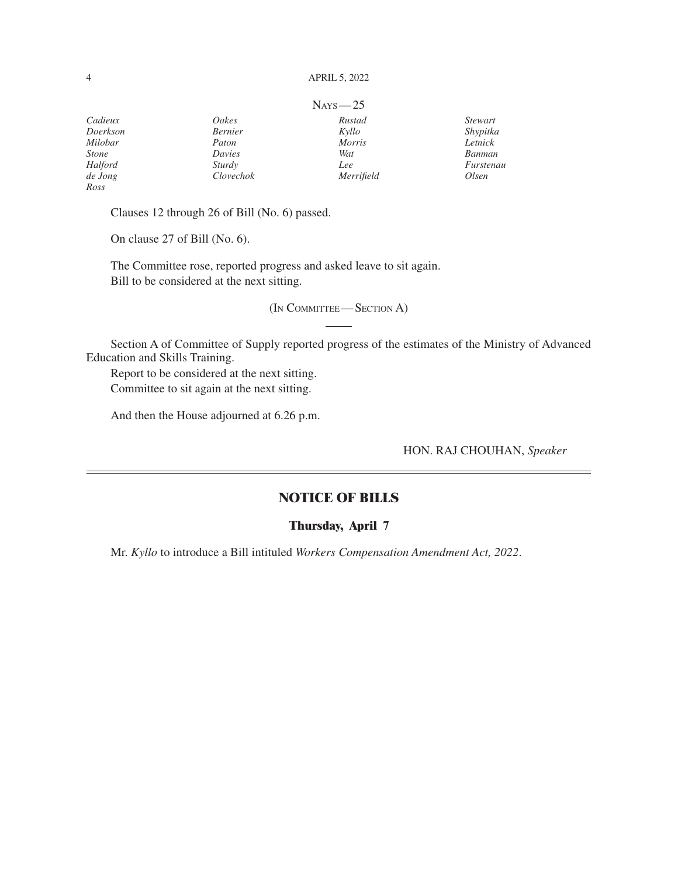#### 4 APRIL 5, 2022

|              |                | $N_{AYS}$ - 25 |                |
|--------------|----------------|----------------|----------------|
| Cadieux      | Oakes          | Rustad         | <i>Stewart</i> |
| Doerkson     | <b>Bernier</b> | Kyllo          | Shypitka       |
| Milobar      | Paton          | <b>Morris</b>  | Letnick        |
| <b>Stone</b> | Davies         | Wat            | Banman         |
| Halford      | Sturdy         | Lee            | Furstenau      |
| de Jong      | Clovechok      | Merrifield     | Olsen          |
| Ross         |                |                |                |

Clauses 12 through 26 of Bill (No. 6) passed.

On clause 27 of Bill (No. 6).

The Committee rose, reported progress and asked leave to sit again. Bill to be considered at the next sitting.

(In Committee— Section A)

Section A of Committee of Supply reported progress of the estimates of the Ministry of Advanced Education and Skills Training.

Report to be considered at the next sitting. Committee to sit again at the next sitting.

And then the House adjourned at 6.26 p.m.

HON. RAJ CHOUHAN, *Speaker*

### **NOTICE OF BILLS**

#### **Thursday, April 7**

Mr. *Kyllo* to introduce a Bill intituled *Workers Compensation Amendment Act, 2022*.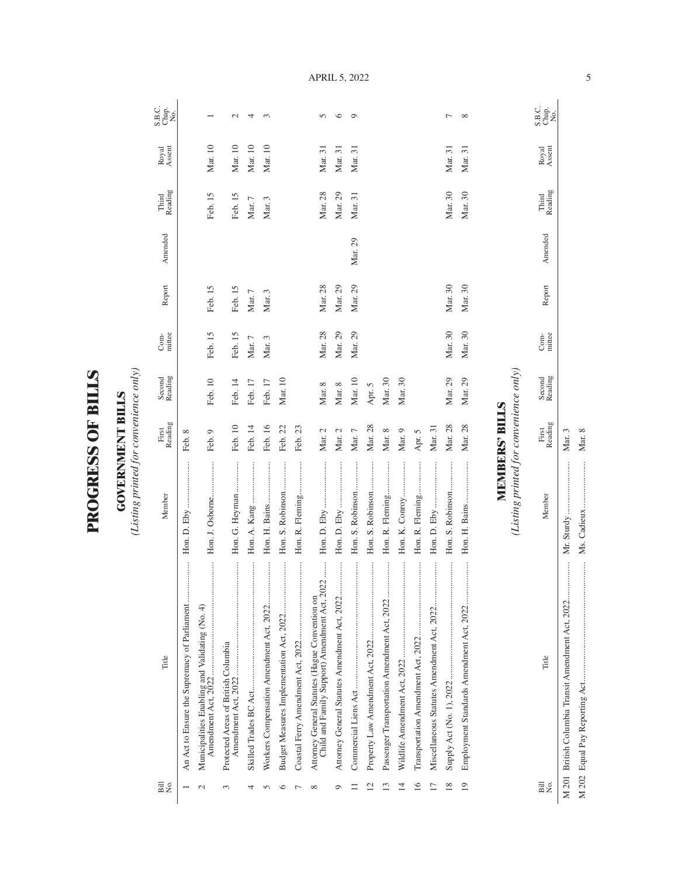| $\mathbf \zeta$<br>ļ<br>ļ |  |
|---------------------------|--|
| ſ<br>ļ                    |  |
| Č                         |  |
|                           |  |

**GOVERNMENT BILLS GOVERNMENT BILLS**

(Listing printed for convenience only) *(Listing printed for convenience only)*

| Title                                                                                           | Member                                 | Reading<br>First      | Second<br>Reading | Com-<br>mittee | Report  | Amended | Reading<br>Third | Royal<br>Assent | S.B.c.<br>Chap.<br>No. |
|-------------------------------------------------------------------------------------------------|----------------------------------------|-----------------------|-------------------|----------------|---------|---------|------------------|-----------------|------------------------|
| An Act to Ensure the Supremacy of Parliament                                                    |                                        | Feb. 8                |                   |                |         |         |                  |                 |                        |
| Municipalities Enabling and Validating (No. 4)                                                  | Hon. J. Osborne<br>                    | Feb. 9                | Feb. 10           | Feb. 15        | Feb. 15 |         | Feb. 15          | Mar. 10         |                        |
| Protected Areas of British Columbia                                                             | Hon. G. Heyman                         | Feb. 10               | Feb. 14           | Feb. 15        | Feb. 15 |         | Feb. 15          | Mar. 10         | $\mathbf{C}$           |
|                                                                                                 | Hon. A. Kang                           | Feb. 14               | Feb. 17           | Mar. $7$       | Mar. 7  |         | Mar. 7           | Mar. 10         | 4                      |
|                                                                                                 | Hon. H. Bains                          | Feb. 16               | Feb. 17           | Mar. 3         | Mar. 3  |         | Mar. 3           | Mar. 10         | $\infty$               |
| Budget Measures Implementation Act, 2022                                                        | Hon. S. Robinson<br>                   | Feb. 22               | Mar. 10           |                |         |         |                  |                 |                        |
|                                                                                                 | Hon. R. Fleming                        | Feb. 23               |                   |                |         |         |                  |                 |                        |
| Child and Family Support) Amendment Act, 2022<br>Attorney General Statutes (Hague Convention on |                                        | Mar. 2                | Mar. 8            | Mar. 28        | Mar. 28 |         | Mar. 28          | Mar. 31         | 5                      |
|                                                                                                 |                                        | Mar. 2                | Mar. 8            | Mar. 29        | Mar. 29 |         | Mar. 29          | Mar. 31         | $\circ$                |
|                                                                                                 | Hon. S. Robinson                       | Mar. 7                | Mar. 10           | Mar. 29        | Mar. 29 | Mar. 29 | Mar. 31          | Mar. 31         | $\circ$                |
|                                                                                                 | Hon. S. Robinson                       | Mar. 28               | Apr. 5            |                |         |         |                  |                 |                        |
|                                                                                                 | Hon. R. Fleming                        | Mar. 8                | Mar. 30           |                |         |         |                  |                 |                        |
|                                                                                                 | Hon. K. Conroy                         | Mar. 9                | Mar. 30           |                |         |         |                  |                 |                        |
|                                                                                                 | Hon. R. Fleming<br>                    | Apr. 5                |                   |                |         |         |                  |                 |                        |
|                                                                                                 |                                        | Mar. 31               |                   |                |         |         |                  |                 |                        |
|                                                                                                 | Hon. S. Robinson                       | Mar. 28               | Mar. 29           | Mar. 30        | Mar. 30 |         | Mar. 30          | Mar. 31         | $\overline{ }$         |
|                                                                                                 |                                        | Mar. 28               | Mar. 29           | Mar. 30        | Mar. 30 |         | Mar. 30          | Mar. 31         | ${}^{\circ}$           |
|                                                                                                 | (Listing printed for convenience only) | <b>MEMBERS' BILLS</b> |                   |                |         |         |                  |                 |                        |
|                                                                                                 |                                        |                       |                   |                |         |         |                  |                 |                        |
| Title                                                                                           | Member                                 | Reading<br>First      | Second<br>Reading | Com-<br>mittee | Report  | Amended | Reading<br>Third | Royal<br>Assent | S.B.C.<br>Chap.<br>No. |

April 5, 2022

M 201 British Columbia Transit Amendment Act, 2022................. Mr. Sturdy ........................ Mar. 3 M 202 Equal Pay Reporting Act...................................................... Ms. Cadieux ..................... Mar. 8

Mar. 3 Mar. 8

M 202 Equal Pay Reporting Act.........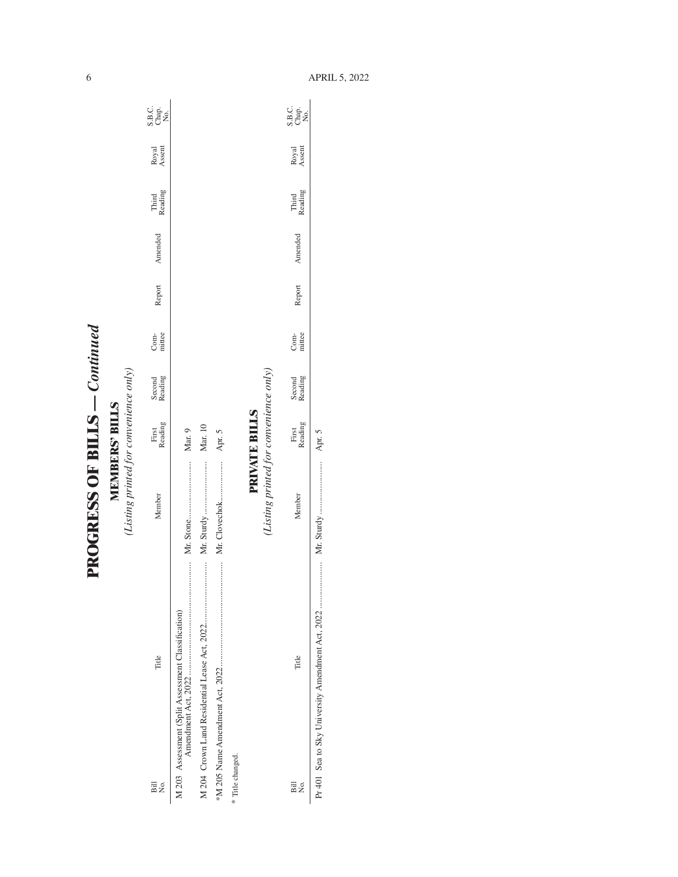| י<br>י<br>Ì         |  |
|---------------------|--|
|                     |  |
|                     |  |
|                     |  |
| くしじょう にく くくにんて<br>ì |  |
|                     |  |

**MEMBERS' BILLS**<br>(Listing printed for convenience only) *(Listing printed for convenience only)***MEMBERS' BILLS**

| Title<br>Bill<br>Σó.                               | Member                                | First<br>Reading | Second<br>Reading | Com-<br>mittee | Report | Amended | Third<br>Reading | Royal<br>Assent | C.<br>S.B.<br>S.B.<br>Z |
|----------------------------------------------------|---------------------------------------|------------------|-------------------|----------------|--------|---------|------------------|-----------------|-------------------------|
| M 203 Assessment (Split Assessment Classification) |                                       | Mar. 9           |                   |                |        |         |                  |                 |                         |
|                                                    |                                       | Mar. 10          |                   |                |        |         |                  |                 |                         |
|                                                    | Mr. Clovechok                         | Apr.             |                   |                |        |         |                  |                 |                         |
| * Title changed.                                   |                                       |                  |                   |                |        |         |                  |                 |                         |
|                                                    |                                       | PRIVATE BILLS    |                   |                |        |         |                  |                 |                         |
|                                                    | Listing printed for convenience only) |                  |                   |                |        |         |                  |                 |                         |

| $\overline{B}$<br>2<br>Z | Title | lember | adın;<br>First | cading<br>Second | Com-<br>mittee | Report | mendec | Third<br>Reading | Royal<br>Assent | S.B.c.<br>Chap.<br>No. |
|--------------------------|-------|--------|----------------|------------------|----------------|--------|--------|------------------|-----------------|------------------------|
|                          |       |        | i              |                  |                |        |        |                  |                 |                        |